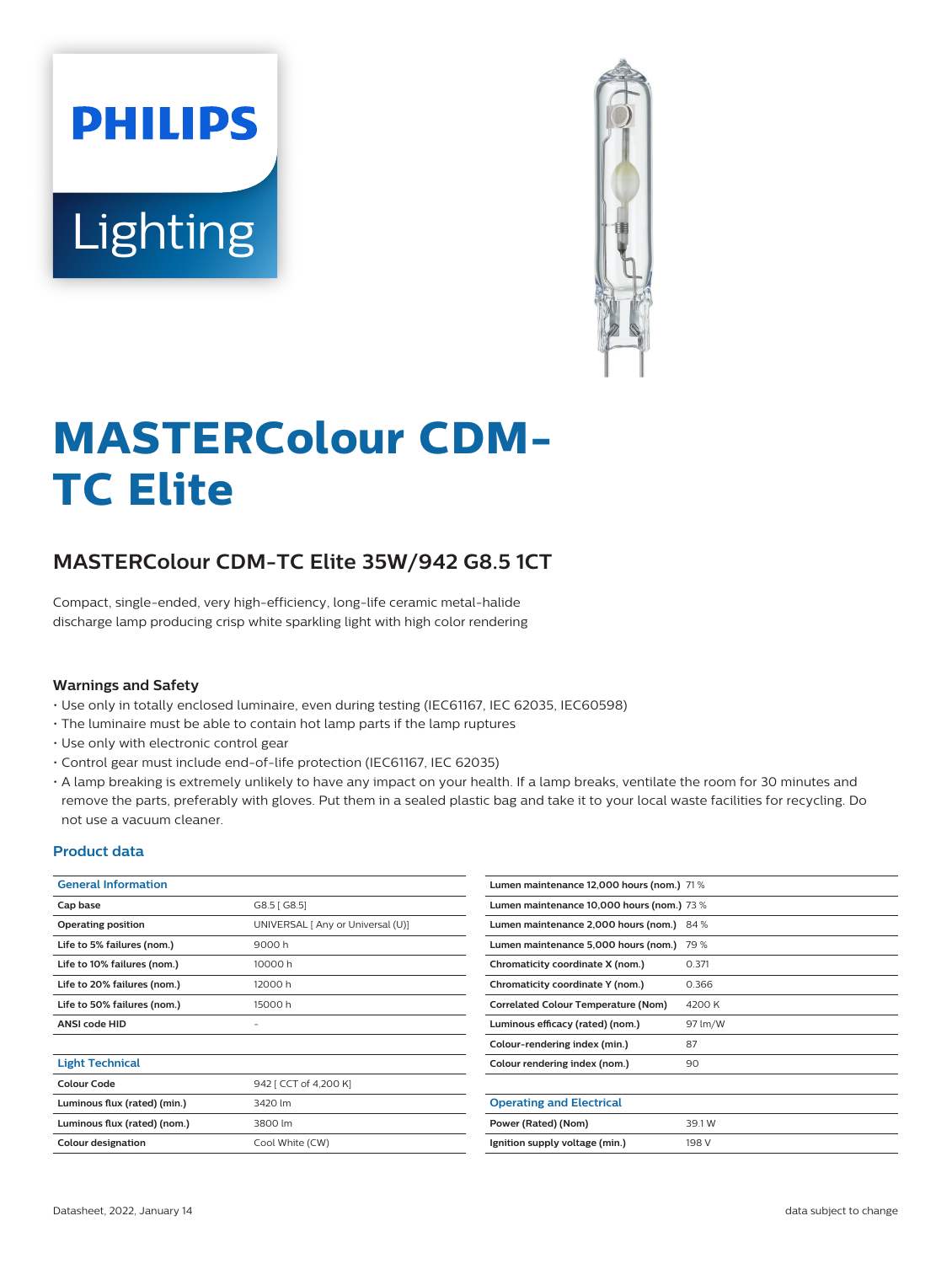# **PHILIPS** Lighting



# **MASTERColour CDM-TC Elite**

# **MASTERColour CDM-TC Elite 35W/942 G8.5 1CT**

Compact, single-ended, very high-efficiency, long-life ceramic metal-halide discharge lamp producing crisp white sparkling light with high color rendering

## **Warnings and Safety**

- Use only in totally enclosed luminaire, even during testing (IEC61167, IEC 62035, IEC60598)
- The luminaire must be able to contain hot lamp parts if the lamp ruptures
- Use only with electronic control gear
- Control gear must include end-of-life protection (IEC61167, IEC 62035)
- A lamp breaking is extremely unlikely to have any impact on your health. If a lamp breaks, ventilate the room for 30 minutes and remove the parts, preferably with gloves. Put them in a sealed plastic bag and take it to your local waste facilities for recycling. Do not use a vacuum cleaner.

## **Product data**

| <b>General Information</b>   |                                   | Lumen maintenance 12,000 hours (nom.) 71 % |                                            |  |  |  |
|------------------------------|-----------------------------------|--------------------------------------------|--------------------------------------------|--|--|--|
| Cap base                     | G8.5 [G8.5]                       |                                            | Lumen maintenance 10,000 hours (nom.) 73 % |  |  |  |
| <b>Operating position</b>    | UNIVERSAL [ Any or Universal (U)] | Lumen maintenance 2,000 hours (nom.) 84 %  |                                            |  |  |  |
| Life to 5% failures (nom.)   | 9000h                             | Lumen maintenance 5,000 hours (nom.) 79 %  |                                            |  |  |  |
| Life to 10% failures (nom.)  | 10000h                            | Chromaticity coordinate X (nom.)           | 0.371                                      |  |  |  |
| Life to 20% failures (nom.)  | 12000 h                           | Chromaticity coordinate Y (nom.)           | 0.366                                      |  |  |  |
| Life to 50% failures (nom.)  | 15000h                            | <b>Correlated Colour Temperature (Nom)</b> | 4200 K                                     |  |  |  |
| <b>ANSI code HID</b>         |                                   | Luminous efficacy (rated) (nom.)           | 97 lm/W                                    |  |  |  |
|                              |                                   | Colour-rendering index (min.)              | 87                                         |  |  |  |
| <b>Light Technical</b>       |                                   | Colour rendering index (nom.)              | 90                                         |  |  |  |
| <b>Colour Code</b>           | 942 [ CCT of 4,200 K]             |                                            |                                            |  |  |  |
| Luminous flux (rated) (min.) | 3420 lm                           | <b>Operating and Electrical</b>            |                                            |  |  |  |
| Luminous flux (rated) (nom.) | 3800 lm                           | Power (Rated) (Nom)                        | 39.1W                                      |  |  |  |
| Colour designation           | Cool White (CW)                   | Ignition supply voltage (min.)             | 198 V                                      |  |  |  |
|                              |                                   |                                            |                                            |  |  |  |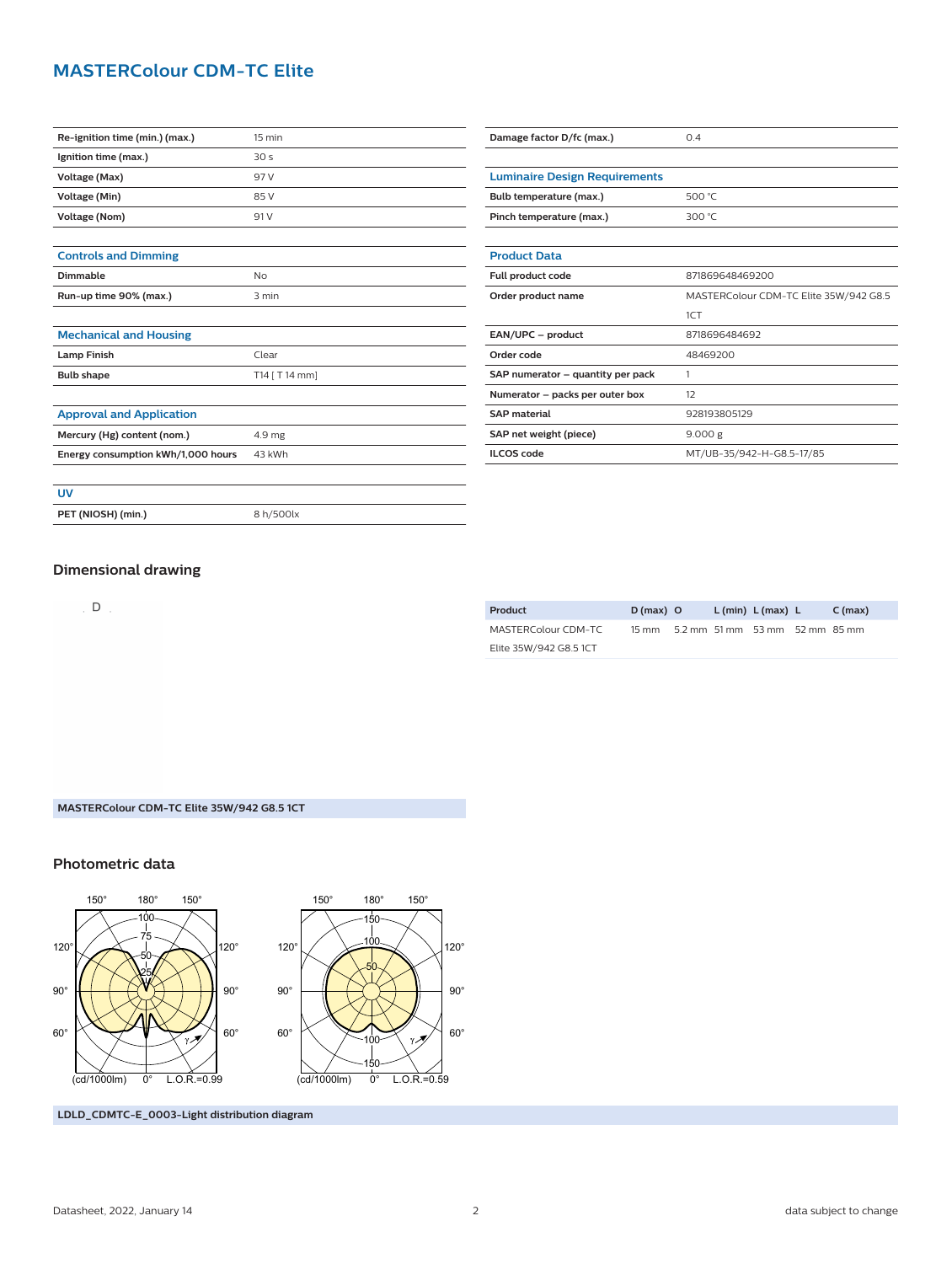# **MASTERColour CDM-TC Elite**

| Re-ignition time (min.) (max.)     | 15 min           | Damage factor D/fc (max.)            | 0.4                                    |
|------------------------------------|------------------|--------------------------------------|----------------------------------------|
| Ignition time (max.)               | 30 <sub>s</sub>  |                                      |                                        |
| Voltage (Max)                      | 97 V             | <b>Luminaire Design Requirements</b> |                                        |
| Voltage (Min)                      | 85 V             | Bulb temperature (max.)              | 500 °C                                 |
| Voltage (Nom)                      | 91 V             | Pinch temperature (max.)             | 300 °C                                 |
|                                    |                  |                                      |                                        |
| <b>Controls and Dimming</b>        |                  | <b>Product Data</b>                  |                                        |
| <b>Dimmable</b>                    | No               | Full product code                    | 871869648469200                        |
| Run-up time 90% (max.)             | 3 min            | Order product name                   | MASTERColour CDM-TC Elite 35W/942 G8.5 |
|                                    |                  |                                      | 1CT                                    |
| <b>Mechanical and Housing</b>      |                  | EAN/UPC - product                    | 8718696484692                          |
| <b>Lamp Finish</b>                 | Clear            | Order code                           | 48469200                               |
| <b>Bulb shape</b>                  | $T14$ [ T 14 mm] | SAP numerator - quantity per pack    | $\overline{1}$                         |
|                                    |                  | Numerator - packs per outer box      | 12                                     |
| <b>Approval and Application</b>    |                  | <b>SAP material</b>                  | 928193805129                           |
| Mercury (Hg) content (nom.)        | 4.9 mg           | SAP net weight (piece)               | 9.000 g                                |
| Energy consumption kWh/1,000 hours | 43 kWh           | <b>ILCOS code</b>                    | MT/UB-35/942-H-G8.5-17/85              |
|                                    |                  |                                      |                                        |
| <b>UV</b>                          |                  |                                      |                                        |
| PET (NIOSH) (min.)                 | 8 h/500lx        |                                      |                                        |
|                                    |                  |                                      |                                        |

## **Dimensional drawing**

 $D$ .

| Product                | $D(max)$ O                           |  | L (min) L (max) L | C (max) |
|------------------------|--------------------------------------|--|-------------------|---------|
| MASTERColour CDM-TC    | 15 mm 5.2 mm 51 mm 53 mm 52 mm 85 mm |  |                   |         |
| Elite 35W/942 G8.5 1CT |                                      |  |                   |         |

#### **MASTERColour CDM-TC Elite 35W/942 G8.5 1CT**

## **Photometric data**





**LDLD\_CDMTC-E\_0003-Light distribution diagram**

Datasheet, 2022, January 14 2 data subject to change